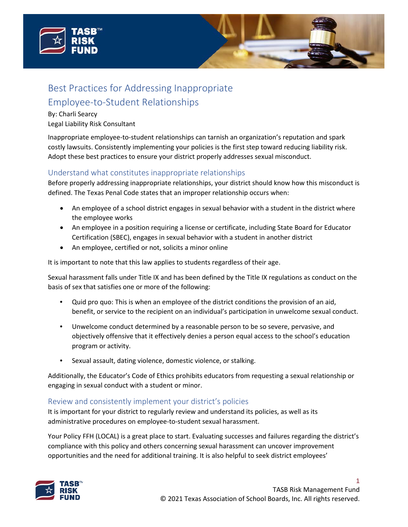



# Best Practices for Addressing Inappropriate Employee-to-Student Relationships

#### By: Charli Searcy

#### Legal Liability Risk Consultant

Inappropriate employee-to-student relationships can tarnish an organization's reputation and spark costly lawsuits. Consistently implementing your policies is the first step toward reducing liability risk. Adopt these best practices to ensure your district properly addresses sexual misconduct.

# Understand what constitutes inappropriate relationships

Before properly addressing inappropriate relationships, your district should know how this misconduct is defined. The Texas Penal Code states that an improper relationship occurs when:

- An employee of a school district engages in sexual behavior with a student in the district where the employee works
- An employee in a position requiring a license or certificate, including State Board for Educator Certification (SBEC), engages in sexual behavior with a student in another district
- An employee, certified or not, solicits a minor online

It is important to note that this law applies to students regardless of their age.

Sexual harassment falls under Title IX and has been defined by the Title IX regulations as conduct on the basis of sex that satisfies one or more of the following:

- Quid pro quo: This is when an employee of the district conditions the provision of an aid, benefit, or service to the recipient on an individual's participation in unwelcome sexual conduct.
- Unwelcome conduct determined by a reasonable person to be so severe, pervasive, and objectively offensive that it effectively denies a person equal access to the school's education program or activity.
- Sexual assault, dating violence, domestic violence, or stalking.

Additionally, the Educator's Code of Ethics prohibits educators from requesting a sexual relationship or engaging in sexual conduct with a student or minor.

# Review and consistently implement your district's policies

It is important for your district to regularly review and understand its policies, as well as its administrative procedures on employee-to-student sexual harassment.

Your Policy FFH (LOCAL) is a great place to start. Evaluating successes and failures regarding the district's compliance with this policy and others concerning sexual harassment can uncover improvement opportunities and the need for additional training. It is also helpful to seek district employees'



1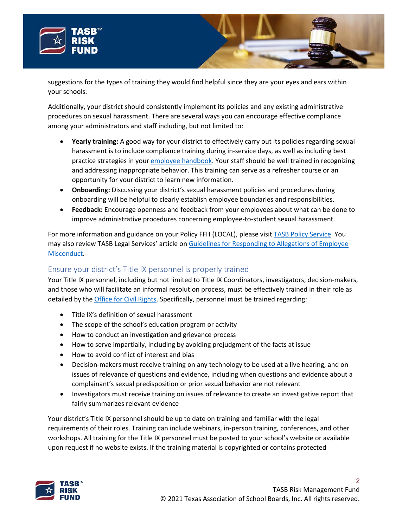

your schools.



Additionally, your district should consistently implement its policies and any existing administrative procedures on sexual harassment. There are several ways you can encourage effective compliance among your administrators and staff including, but not limited to:

- **Yearly training:** A good way for your district to effectively carry out its policies regarding sexual harassment is to include compliance training during in-service days, as well as including best practice strategies in your [employee handbook.](https://www.tasb.org/services/hr-services/hrx/hr-laws/the-value-of-a-well-written-employee-handbook.aspx) Your staff should be well trained in recognizing and addressing inappropriate behavior. This training can serve as a refresher course or an opportunity for your district to learn new information.
- **Onboarding:** Discussing your district's sexual harassment policies and procedures during onboarding will be helpful to clearly establish employee boundaries and responsibilities.
- **Feedback:** Encourage openness and feedback from your employees about what can be done to improve administrative procedures concerning employee-to-student sexual harassment.

For more information and guidance on your Policy FFH (LOCAL), please visit [TASB Policy Service.](https://www.tasb.org/services/policy-service.aspx) You may also review TASB Legal Services' article on [Guidelines for Responding to Allegations of Employee](https://www.tasb.org/services/legal-services/tasb-school-law-esource/personnel/documents/guidelines-for-responding-to-allegations-of-employee-misconduct.pdf) [Misconduct.](https://www.tasb.org/services/legal-services/tasb-school-law-esource/personnel/documents/guidelines-for-responding-to-allegations-of-employee-misconduct.pdf)

# Ensure your district's Title IX personnel is properly trained

Your Title IX personnel, including but not limited to Title IX Coordinators, investigators, decision-makers, and those who will facilitate an informal resolution process, must be effectively trained in their role as detailed by the [Office for Civil Rights.](https://www2.ed.gov/about/offices/list/ocr/blog/20200518.html) Specifically, personnel must be trained regarding:

- Title IX's definition of sexual harassment
- The scope of the school's education program or activity
- How to conduct an investigation and grievance process
- How to serve impartially, including by avoiding prejudgment of the facts at issue
- How to avoid conflict of interest and bias
- Decision-makers must receive training on any technology to be used at a live hearing, and on issues of relevance of questions and evidence, including when questions and evidence about a complainant's sexual predisposition or prior sexual behavior are not relevant
- Investigators must receive training on issues of relevance to create an investigative report that fairly summarizes relevant evidence

Your district's Title IX personnel should be up to date on training and familiar with the legal requirements of their roles. Training can include webinars, in-person training, conferences, and other workshops. All training for the Title IX personnel must be posted to your school's website or available upon request if no website exists. If the training material is copyrighted or contains protected



2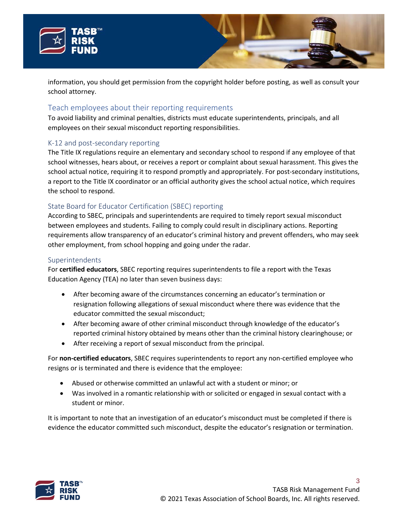



information, you should get permission from the copyright holder before posting, as well as consult your school attorney.

## Teach employees about their reporting requirements

To avoid liability and criminal penalties, districts must educate superintendents, principals, and all employees on their sexual misconduct reporting responsibilities.

#### K-12 and post-secondary reporting

The Title IX regulations require an elementary and secondary school to respond if any employee of that school witnesses, hears about, or receives a report or complaint about sexual harassment. This gives the school actual notice, requiring it to respond promptly and appropriately. For post-secondary institutions, a report to the Title IX coordinator or an official authority gives the school actual notice, which requires the school to respond.

#### State Board for Educator Certification (SBEC) reporting

According to SBEC, principals and superintendents are required to timely report sexual misconduct between employees and students. Failing to comply could result in disciplinary actions. Reporting requirements allow transparency of an educator's criminal history and prevent offenders, who may seek other employment, from school hopping and going under the radar.

#### **Superintendents**

For **certified educators**, SBEC reporting requires superintendents to file a report with the Texas Education Agency (TEA) no later than seven business days:

- After becoming aware of the circumstances concerning an educator's termination or resignation following allegations of sexual misconduct where there was evidence that the educator committed the sexual misconduct;
- After becoming aware of other criminal misconduct through knowledge of the educator's reported criminal history obtained by means other than the criminal history clearinghouse; or
- After receiving a report of sexual misconduct from the principal.

For **non-certified educators**, SBEC requires superintendents to report any non-certified employee who resigns or is terminated and there is evidence that the employee:

- Abused or otherwise committed an unlawful act with a student or minor; or
- Was involved in a romantic relationship with or solicited or engaged in sexual contact with a student or minor.

It is important to note that an investigation of an educator's misconduct must be completed if there is evidence the educator committed such misconduct, despite the educator's resignation or termination.



3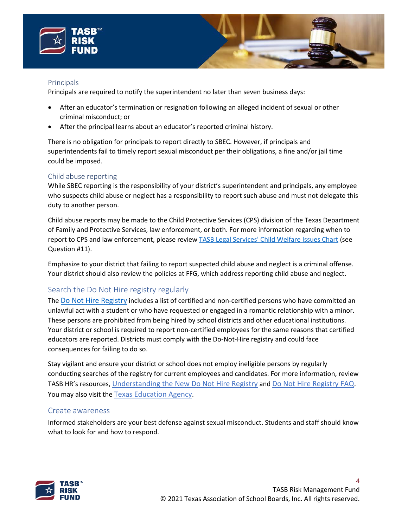



#### **Principals**

Principals are required to notify the superintendent no later than seven business days:

- After an educator's termination or resignation following an alleged incident of sexual or other criminal misconduct; or
- After the principal learns about an educator's reported criminal history.

There is no obligation for principals to report directly to SBEC. However, if principals and superintendents fail to timely report sexual misconduct per their obligations, a fine and/or jail time could be imposed.

#### Child abuse reporting

While SBEC reporting is the responsibility of your district's superintendent and principals, any employee who suspects child abuse or neglect has a responsibility to report such abuse and must not delegate this duty to another person.

Child abuse reports may be made to the Child Protective Services (CPS) division of the Texas Department of Family and Protective Services, law enforcement, or both. For more information regarding when to report to CPS and law enforcement, please revie[w TASB Legal Services' Child Welfare Issues Chart](https://www.tasb.org/services/legal-services/tasb-school-law-esource/students/documents/child-welfare-issues-chart.pdf#page=6) (see Question #11).

Emphasize to your district that failing to report suspected child abuse and neglect is a criminal offense. Your district should also review the policies at FFG, which address reporting child abuse and neglect.

# Search the Do Not Hire registry regularly

The [Do Not Hire Registry](https://tealprod.tea.state.tx.us/DNH/Public/SearchPerson) includes a list of certified and non-certified persons who have committed an unlawful act with a student or who have requested or engaged in a romantic relationship with a minor. These persons are prohibited from being hired by school districts and other educational institutions. Your district or school is required to report non-certified employees for the same reasons that certified educators are reported. Districts must comply with the Do-Not-Hire registry and could face consequences for failing to do so.

Stay vigilant and ensure your district or school does not employ ineligible persons by regularly conducting searches of the registry for current employees and candidates. For more information, review TASB HR's resources, [Understanding the New Do Not Hire Registry](https://www.tasb.org/services/hr-services/hrx/hr-laws/understanding-the-new-do-not-hire-registry.aspx) an[d Do Not Hire Registry FAQ.](https://www.tasb.org/services/hr-services/hrx/recruiting-and-hiring/hb-3-faq-reporting-misconduct-and-the-do-not-hire%E2%80%9D-registry.aspx) You may also visit the [Texas Education Agency.](https://tea.texas.gov/texas-educators/investigations/do-not-hire-registry)

## Create awareness

Informed stakeholders are your best defense against sexual misconduct. Students and staff should know what to look for and how to respond.



 $\boldsymbol{\Lambda}$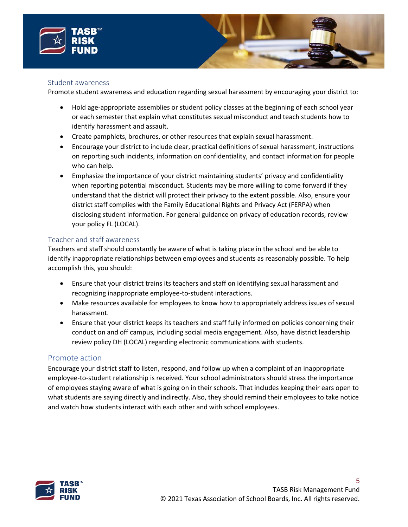



#### Student awareness

Promote student awareness and education regarding sexual harassment by encouraging your district to:

- Hold age-appropriate assemblies or student policy classes at the beginning of each school year or each semester that explain what constitutes sexual misconduct and teach students how to identify harassment and assault.
- Create pamphlets, brochures, or other resources that explain sexual harassment.
- Encourage your district to include clear, practical definitions of sexual harassment, instructions on reporting such incidents, information on confidentiality, and contact information for people who can help.
- Emphasize the importance of your district maintaining students' privacy and confidentiality when reporting potential misconduct. Students may be more willing to come forward if they understand that the district will protect their privacy to the extent possible. Also, ensure your district staff complies with the Family Educational Rights and Privacy Act (FERPA) when disclosing student information. For general guidance on privacy of education records, review your policy FL (LOCAL).

#### Teacher and staff awareness

Teachers and staff should constantly be aware of what is taking place in the school and be able to identify inappropriate relationships between employees and students as reasonably possible. To help accomplish this, you should:

- Ensure that your district trains its teachers and staff on identifying sexual harassment and recognizing inappropriate employee-to-student interactions.
- Make resources available for employees to know how to appropriately address issues of sexual harassment.
- Ensure that your district keeps its teachers and staff fully informed on policies concerning their conduct on and off campus, including social media engagement. Also, have district leadership review policy DH (LOCAL) regarding electronic communications with students.

#### Promote action

Encourage your district staff to listen, respond, and follow up when a complaint of an inappropriate employee-to-student relationship is received. Your school administrators should stress the importance of employees staying aware of what is going on in their schools. That includes keeping their ears open to what students are saying directly and indirectly. Also, they should remind their employees to take notice and watch how students interact with each other and with school employees.